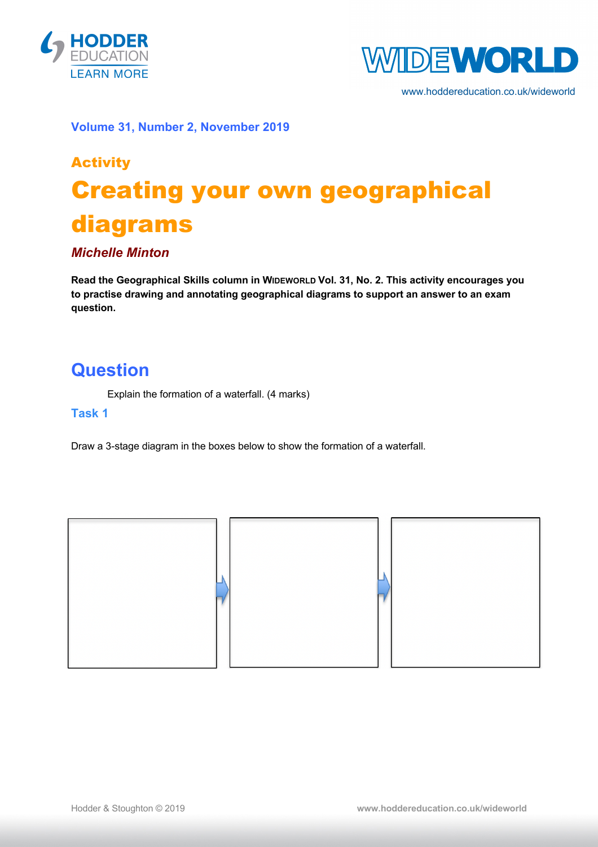



www.hoddereducation.co.uk/wideworld

**Volume 31, Number 2, November 2019**

# Activity Creating your own geographical diagrams

#### *Michelle Minton*

**Read the Geographical Skills column in WIDEWORLD Vol. 31, No. 2. This activity encourages you to practise drawing and annotating geographical diagrams to support an answer to an exam question.**

### **Question**

Explain the formation of a waterfall. (4 marks)

#### **Task 1**

Draw a 3-stage diagram in the boxes below to show the formation of a waterfall.

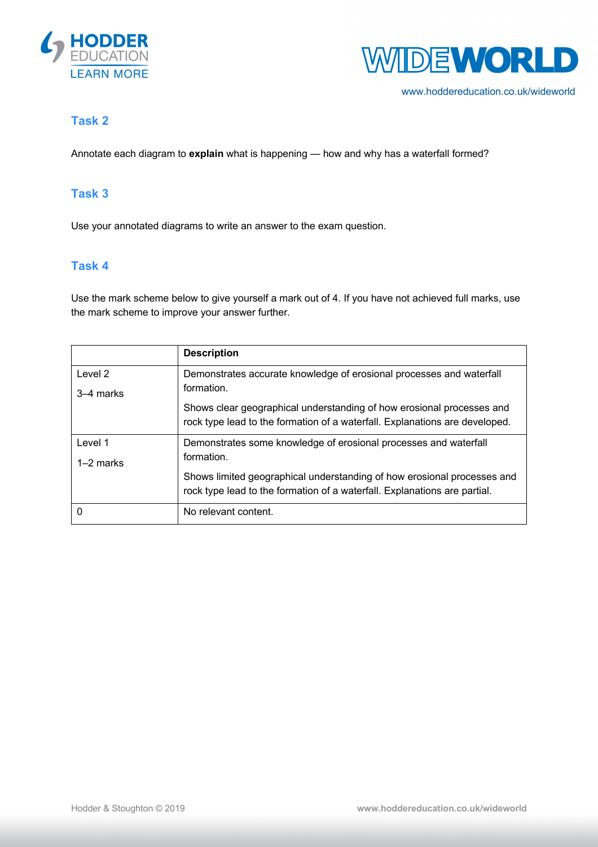



www.hoddereducation.co.uk/wideworld

#### **Task 2**

Annotate each diagram to **explain** what is happening — how and why has a waterfall formed?

#### **Task 3**

Use your annotated diagrams to write an answer to the exam question.

#### **Task 4**

Use the mark scheme below to give yourself a mark out of 4. If you have not achieved full marks, use the mark scheme to improve your answer further.

|             | <b>Description</b>                                                          |
|-------------|-----------------------------------------------------------------------------|
| Level 2     | Demonstrates accurate knowledge of erosional processes and waterfall        |
| 3–4 marks   | formation.                                                                  |
|             | Shows clear geographical understanding of how erosional processes and       |
|             | rock type lead to the formation of a waterfall. Explanations are developed. |
| Level 1     | Demonstrates some knowledge of erosional processes and waterfall            |
| $1-2$ marks | formation.                                                                  |
|             | Shows limited geographical understanding of how erosional processes and     |
|             | rock type lead to the formation of a waterfall. Explanations are partial.   |
| 0           | No relevant content.                                                        |